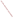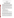## **Creating Attainable Water Quality Criteria; Evaluation of Menomonee River, Milwaukee, Wisconsin Page 1 of 2**

## **Authors:**

## **Nancy Schultz, Milwaukee Metropolitan Sewerage District Eric Waldmer, Milwaukee Metropolitan Sewerage District Mary Recktenwalt, Triad Engineering Incorporated Brandon Koltz, Triad Engineering Incorporated**

The Milwaukee Metropolitan Sewerage District (MMSD) performs routine, comprehensive sampling and monitoring of the waterways in the Milwaukee area. In 1994, the MMSD installed an Inline Storage System (ISS) in order to reduce the number of combined sewer overflows to the Milwaukee waterways from approximately 50 per year to an average of two per year. This presentation will use MMSD water quality monitoring data collected on the Menomonee River from 1994 to 2001 to evaluate how well the waterway (upstream and downstream of the combined sewer service area) is meeting the designated fecal coliform standards and if the corresponding criteria are in fact reasonable and achievable. The presentation will provide recommendations for creating criteria that are attainable and measured on a routine basis.

The Wisconsin Department of Natural Resources (WDNR) classifies all water bodies of the State by their ability to support "designated" or "beneficial" uses. The designated use identifies the type of aquatic community that the WNDR has determined that the water body should be able to support and the functions it is expected to provide. The WNDR developed five (5) biological use objectives and a recreational use objective to be applied to all water bodies.

- Cold Water Community (CW)
- Warm Water Sport Fish Communities (WWSF)
- Warm Water Forage Fish Communities (WWFF)
- Limited Forage Fishery (intermediate surface waters)
- Limited Aquatic Life (marginal surface waters)
- Recreational Use (Full body contact and partial body contact)

The WDNR established water quality criteria, which set forth the numerical water quality values or narrative criterion that must be maintained for the water body to meet its use designation or to protect human health and welfare.

For example, the Menomonee River is designated as a WWSF Community and full recreational use throughout much of its length. In order to meet the criterion for full recreational use, the surface water fecal coliform count may not exceed 200/100 ml as a geometric mean (based on not less than 5 samples per month), nor exceed 400/100 ml in more than 10% of all sample during any month. Certain sections of the river and its streams are granted variances from the surface water criteria for dissolved oxygen, fecal coliform and temperature. The variance criterion is 1,000/100ml (monthly geometric mean), nor exceed 2,000 per 100 ml in more than 10% of all samples during any month.

Using the Menomonee River as an example, this presentation will address the attainability of meeting the criteria and will provide recommended criteria based on longterm monitoring. This presentation will also explore the relationships between river flow and fecal coliform counts. Bacterial criteria similar to those in the Menomonee River are